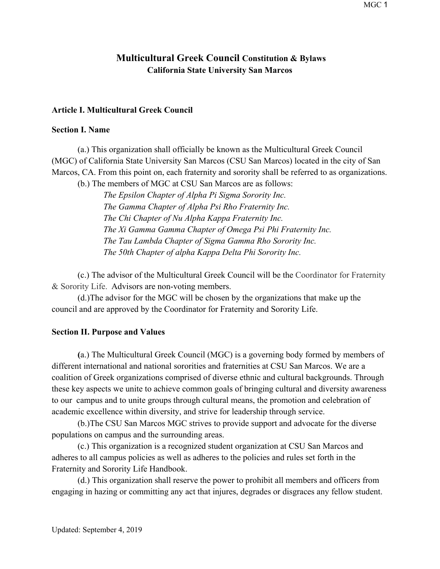# **Multicultural Greek Council Constitution & Bylaws California State University San Marcos**

#### **Article I. Multicultural Greek Council**

#### **Section I. Name**

(a.) This organization shall officially be known as the Multicultural Greek Council (MGC) of California State University San Marcos (CSU San Marcos) located in the city of San Marcos, CA. From this point on, each fraternity and sorority shall be referred to as organizations.

(b.) The members of MGC at CSU San Marcos are as follows:

*The Epsilon Chapter of Alpha Pi Sigma Sorority Inc. The Gamma Chapter of Alpha Psi Rho Fraternity Inc. The Chi Chapter of Nu Alpha Kappa Fraternity Inc. The Xi Gamma Gamma Chapter of Omega Psi Phi Fraternity Inc. The Tau Lambda Chapter of Sigma Gamma Rho Sorority Inc. The 50th Chapter of alpha Kappa Delta Phi Sorority Inc.* 

(c.) The advisor of the Multicultural Greek Council will be the Coordinator for Fraternity & Sorority Life. Advisors are non-voting members.

(d.)The advisor for the MGC will be chosen by the organizations that make up the council and are approved by the Coordinator for Fraternity and Sorority Life.

#### **Section II. Purpose and Values**

**(**a.) The Multicultural Greek Council (MGC) is a governing body formed by members of different international and national sororities and fraternities at CSU San Marcos. We are a coalition of Greek organizations comprised of diverse ethnic and cultural backgrounds. Through these key aspects we unite to achieve common goals of bringing cultural and diversity awareness to our campus and to unite groups through cultural means, the promotion and celebration of academic excellence within diversity, and strive for leadership through service.

(b.)The CSU San Marcos MGC strives to provide support and advocate for the diverse populations on campus and the surrounding areas.

(c.) This organization is a recognized student organization at CSU San Marcos and adheres to all campus policies as well as adheres to the policies and rules set forth in the Fraternity and Sorority Life Handbook.

(d.) This organization shall reserve the power to prohibit all members and officers from engaging in hazing or committing any act that injures, degrades or disgraces any fellow student.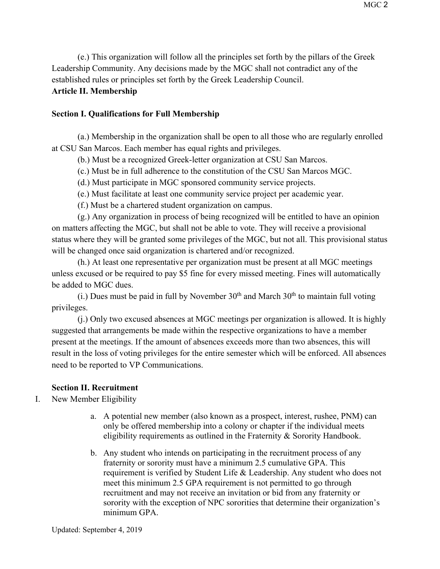(e.) This organization will follow all the principles set forth by the pillars of the Greek Leadership Community. Any decisions made by the MGC shall not contradict any of the established rules or principles set forth by the Greek Leadership Council.

# **Article II. Membership**

### **Section I. Qualifications for Full Membership**

(a.) Membership in the organization shall be open to all those who are regularly enrolled at CSU San Marcos. Each member has equal rights and privileges.

(b.) Must be a recognized Greek-letter organization at CSU San Marcos.

(c.) Must be in full adherence to the constitution of the CSU San Marcos MGC.

(d.) Must participate in MGC sponsored community service projects.

(e.) Must facilitate at least one community service project per academic year.

(f.) Must be a chartered student organization on campus.

(g.) Any organization in process of being recognized will be entitled to have an opinion on matters affecting the MGC, but shall not be able to vote. They will receive a provisional status where they will be granted some privileges of the MGC, but not all. This provisional status will be changed once said organization is chartered and/or recognized.

(h.) At least one representative per organization must be present at all MGC meetings unless excused or be required to pay \$5 fine for every missed meeting. Fines will automatically be added to MGC dues.

(i.) Dues must be paid in full by November  $30<sup>th</sup>$  and March  $30<sup>th</sup>$  to maintain full voting privileges.

(j.) Only two excused absences at MGC meetings per organization is allowed. It is highly suggested that arrangements be made within the respective organizations to have a member present at the meetings. If the amount of absences exceeds more than two absences, this will result in the loss of voting privileges for the entire semester which will be enforced. All absences need to be reported to VP Communications.

## **Section II. Recruitment**

- I. New Member Eligibility
	- a. A potential new member (also known as a prospect, interest, rushee, PNM) can only be offered membership into a colony or chapter if the individual meets eligibility requirements as outlined in the Fraternity & Sorority Handbook.
	- b. Any student who intends on participating in the recruitment process of any fraternity or sorority must have a minimum 2.5 cumulative GPA. This requirement is verified by Student Life & Leadership. Any student who does not meet this minimum 2.5 GPA requirement is not permitted to go through recruitment and may not receive an invitation or bid from any fraternity or sorority with the exception of NPC sororities that determine their organization's minimum GPA.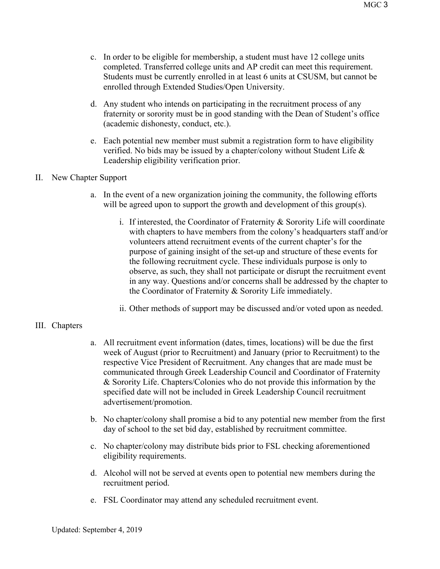- c. In order to be eligible for membership, a student must have 12 college units completed. Transferred college units and AP credit can meet this requirement. Students must be currently enrolled in at least 6 units at CSUSM, but cannot be enrolled through Extended Studies/Open University.
- d. Any student who intends on participating in the recruitment process of any fraternity or sorority must be in good standing with the Dean of Student's office (academic dishonesty, conduct, etc.).
- e. Each potential new member must submit a registration form to have eligibility verified. No bids may be issued by a chapter/colony without Student Life & Leadership eligibility verification prior.
- II. New Chapter Support
	- a. In the event of a new organization joining the community, the following efforts will be agreed upon to support the growth and development of this group(s).
		- i. If interested, the Coordinator of Fraternity & Sorority Life will coordinate with chapters to have members from the colony's headquarters staff and/or volunteers attend recruitment events of the current chapter's for the purpose of gaining insight of the set-up and structure of these events for the following recruitment cycle. These individuals purpose is only to observe, as such, they shall not participate or disrupt the recruitment event in any way. Questions and/or concerns shall be addressed by the chapter to the Coordinator of Fraternity & Sorority Life immediately.
		- ii. Other methods of support may be discussed and/or voted upon as needed.

#### III. Chapters

- a. All recruitment event information (dates, times, locations) will be due the first week of August (prior to Recruitment) and January (prior to Recruitment) to the respective Vice President of Recruitment. Any changes that are made must be communicated through Greek Leadership Council and Coordinator of Fraternity & Sorority Life. Chapters/Colonies who do not provide this information by the specified date will not be included in Greek Leadership Council recruitment advertisement/promotion.
- b. No chapter/colony shall promise a bid to any potential new member from the first day of school to the set bid day, established by recruitment committee.
- c. No chapter/colony may distribute bids prior to FSL checking aforementioned eligibility requirements.
- d. Alcohol will not be served at events open to potential new members during the recruitment period.
- e. FSL Coordinator may attend any scheduled recruitment event.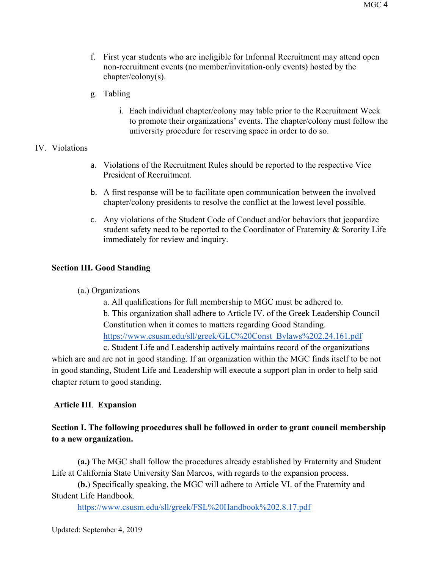- f. First year students who are ineligible for Informal Recruitment may attend open non-recruitment events (no member/invitation-only events) hosted by the chapter/colony(s).
- g. Tabling
	- i. Each individual chapter/colony may table prior to the Recruitment Week to promote their organizations' events. The chapter/colony must follow the university procedure for reserving space in order to do so.

## IV. Violations

- a. Violations of the Recruitment Rules should be reported to the respective Vice President of Recruitment.
- b. A first response will be to facilitate open communication between the involved chapter/colony presidents to resolve the conflict at the lowest level possible.
- c. Any violations of the Student Code of Conduct and/or behaviors that jeopardize student safety need to be reported to the Coordinator of Fraternity & Sorority Life immediately for review and inquiry.

## **Section III. Good Standing**

## (a.) Organizations

a. All qualifications for full membership to MGC must be adhered to. b. This organization shall adhere to Article IV. of the Greek Leadership Council Constitution when it comes to matters regarding Good Standing. [https://www.csusm.edu/sll/greek/GLC%20Const\\_Bylaws%202.24.161.pdf](https://www.csusm.edu/sll/greek/GLC%20Const_Bylaws%202.24.161.pdf)

c. Student Life and Leadership actively maintains record of the organizations which are and are not in good standing. If an organization within the MGC finds itself to be not in good standing, Student Life and Leadership will execute a support plan in order to help said chapter return to good standing.

## **Article III**. **Expansion**

## **Section I. The following procedures shall be followed in order to grant council membership to a new organization.**

**(a.)** The MGC shall follow the procedures already established by Fraternity and Student Life at California State University San Marcos, with regards to the expansion process.

**(b.**) Specifically speaking, the MGC will adhere to Article VI. of the Fraternity and Student Life Handbook.

<https://www.csusm.edu/sll/greek/FSL%20Handbook%202.8.17.pdf>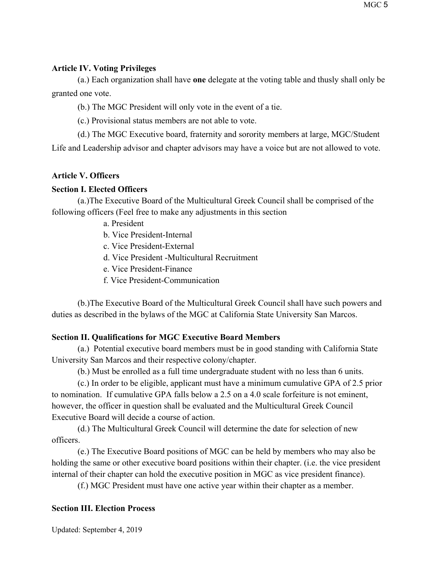#### **Article IV. Voting Privileges**

(a.) Each organization shall have **one** delegate at the voting table and thusly shall only be granted one vote.

(b.) The MGC President will only vote in the event of a tie.

(c.) Provisional status members are not able to vote.

(d.) The MGC Executive board, fraternity and sorority members at large, MGC/Student Life and Leadership advisor and chapter advisors may have a voice but are not allowed to vote.

#### **Article V. Officers**

#### **Section I. Elected Officers**

(a.)The Executive Board of the Multicultural Greek Council shall be comprised of the following officers (Feel free to make any adjustments in this section

- a. President
- b. Vice President-Internal
- c. Vice President-External
- d. Vice President -Multicultural Recruitment
- e. Vice President-Finance
- f. Vice President-Communication

(b.)The Executive Board of the Multicultural Greek Council shall have such powers and duties as described in the bylaws of the MGC at California State University San Marcos.

#### **Section II. Qualifications for MGC Executive Board Members**

(a.) Potential executive board members must be in good standing with California State University San Marcos and their respective colony/chapter.

(b.) Must be enrolled as a full time undergraduate student with no less than 6 units.

(c.) In order to be eligible, applicant must have a minimum cumulative GPA of 2.5 prior to nomination. If cumulative GPA falls below a 2.5 on a 4.0 scale forfeiture is not eminent, however, the officer in question shall be evaluated and the Multicultural Greek Council Executive Board will decide a course of action.

(d.) The Multicultural Greek Council will determine the date for selection of new officers.

(e.) The Executive Board positions of MGC can be held by members who may also be holding the same or other executive board positions within their chapter. (i.e. the vice president internal of their chapter can hold the executive position in MGC as vice president finance).

(f.) MGC President must have one active year within their chapter as a member.

#### **Section III. Election Process**

Updated: September 4, 2019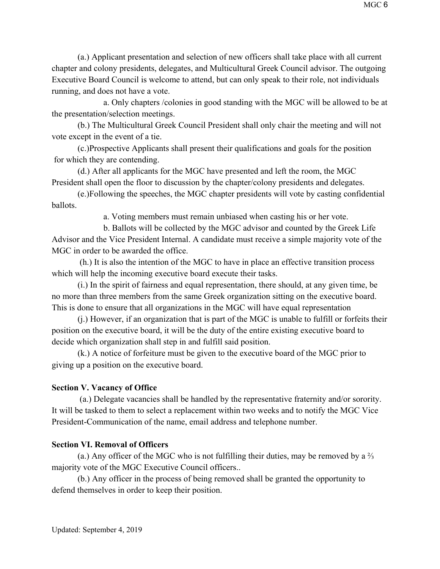(a.) Applicant presentation and selection of new officers shall take place with all current chapter and colony presidents, delegates, and Multicultural Greek Council advisor. The outgoing Executive Board Council is welcome to attend, but can only speak to their role, not individuals running, and does not have a vote.

a. Only chapters /colonies in good standing with the MGC will be allowed to be at the presentation/selection meetings.

(b.) The Multicultural Greek Council President shall only chair the meeting and will not vote except in the event of a tie.

(c.)Prospective Applicants shall present their qualifications and goals for the position for which they are contending.

(d.) After all applicants for the MGC have presented and left the room, the MGC President shall open the floor to discussion by the chapter/colony presidents and delegates.

(e.)Following the speeches, the MGC chapter presidents will vote by casting confidential ballots.

a. Voting members must remain unbiased when casting his or her vote.

b. Ballots will be collected by the MGC advisor and counted by the Greek Life Advisor and the Vice President Internal. A candidate must receive a simple majority vote of the MGC in order to be awarded the office.

(h.) It is also the intention of the MGC to have in place an effective transition process which will help the incoming executive board execute their tasks.

(i.) In the spirit of fairness and equal representation, there should, at any given time, be no more than three members from the same Greek organization sitting on the executive board. This is done to ensure that all organizations in the MGC will have equal representation

(j.) However, if an organization that is part of the MGC is unable to fulfill or forfeits their position on the executive board, it will be the duty of the entire existing executive board to decide which organization shall step in and fulfill said position.

(k.) A notice of forfeiture must be given to the executive board of the MGC prior to giving up a position on the executive board.

#### **Section V. Vacancy of Office**

(a.) Delegate vacancies shall be handled by the representative fraternity and/or sorority. It will be tasked to them to select a replacement within two weeks and to notify the MGC Vice President-Communication of the name, email address and telephone number.

#### **Section VI. Removal of Officers**

(a.) Any officer of the MGC who is not fulfilling their duties, may be removed by a ⅔ majority vote of the MGC Executive Council officers..

(b.) Any officer in the process of being removed shall be granted the opportunity to defend themselves in order to keep their position.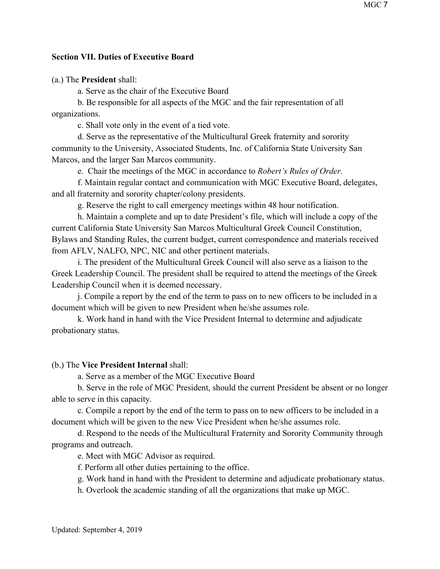### **Section VII. Duties of Executive Board**

(a.) The **President** shall:

a. Serve as the chair of the Executive Board

b. Be responsible for all aspects of the MGC and the fair representation of all organizations.

c. Shall vote only in the event of a tied vote.

d. Serve as the representative of the Multicultural Greek fraternity and sorority community to the University, Associated Students, Inc. of California State University San Marcos, and the larger San Marcos community.

e. Chair the meetings of the MGC in accordance to *Robert's Rules of Order.* 

f. Maintain regular contact and communication with MGC Executive Board, delegates, and all fraternity and sorority chapter/colony presidents.

g. Reserve the right to call emergency meetings within 48 hour notification.

h. Maintain a complete and up to date President's file, which will include a copy of the current California State University San Marcos Multicultural Greek Council Constitution, Bylaws and Standing Rules, the current budget, current correspondence and materials received from AFLV, NALFO, NPC, NIC and other pertinent materials.

i. The president of the Multicultural Greek Council will also serve as a liaison to the Greek Leadership Council. The president shall be required to attend the meetings of the Greek Leadership Council when it is deemed necessary.

j. Compile a report by the end of the term to pass on to new officers to be included in a document which will be given to new President when he/she assumes role.

k. Work hand in hand with the Vice President Internal to determine and adjudicate probationary status.

#### (b.) The **Vice President Internal** shall:

a. Serve as a member of the MGC Executive Board

b. Serve in the role of MGC President, should the current President be absent or no longer able to serve in this capacity.

c. Compile a report by the end of the term to pass on to new officers to be included in a document which will be given to the new Vice President when he/she assumes role.

d. Respond to the needs of the Multicultural Fraternity and Sorority Community through programs and outreach.

e. Meet with MGC Advisor as required.

f. Perform all other duties pertaining to the office.

g. Work hand in hand with the President to determine and adjudicate probationary status.

h. Overlook the academic standing of all the organizations that make up MGC.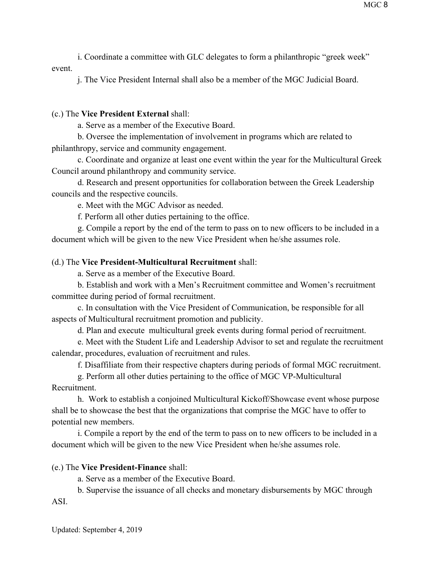i. Coordinate a committee with GLC delegates to form a philanthropic "greek week" event.

j. The Vice President Internal shall also be a member of the MGC Judicial Board.

### (c.) The **Vice President External** shall:

a. Serve as a member of the Executive Board.

b. Oversee the implementation of involvement in programs which are related to philanthropy, service and community engagement.

c. Coordinate and organize at least one event within the year for the Multicultural Greek Council around philanthropy and community service.

d. Research and present opportunities for collaboration between the Greek Leadership councils and the respective councils.

e. Meet with the MGC Advisor as needed.

f. Perform all other duties pertaining to the office.

g. Compile a report by the end of the term to pass on to new officers to be included in a document which will be given to the new Vice President when he/she assumes role.

### (d.) The **Vice President-Multicultural Recruitment** shall:

a. Serve as a member of the Executive Board.

b. Establish and work with a Men's Recruitment committee and Women's recruitment committee during period of formal recruitment.

c. In consultation with the Vice President of Communication, be responsible for all aspects of Multicultural recruitment promotion and publicity.

d. Plan and execute multicultural greek events during formal period of recruitment.

e. Meet with the Student Life and Leadership Advisor to set and regulate the recruitment calendar, procedures, evaluation of recruitment and rules.

f. Disaffiliate from their respective chapters during periods of formal MGC recruitment.

g. Perform all other duties pertaining to the office of MGC VP-Multicultural Recruitment.

h. Work to establish a conjoined Multicultural Kickoff/Showcase event whose purpose shall be to showcase the best that the organizations that comprise the MGC have to offer to potential new members.

i. Compile a report by the end of the term to pass on to new officers to be included in a document which will be given to the new Vice President when he/she assumes role.

## (e.) The **Vice President-Finance** shall:

a. Serve as a member of the Executive Board.

b. Supervise the issuance of all checks and monetary disbursements by MGC through ASI.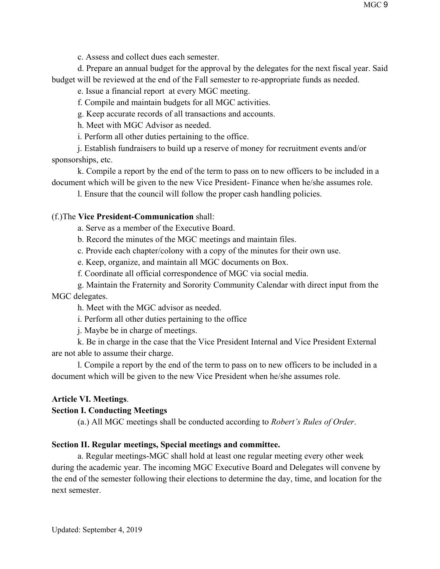c. Assess and collect dues each semester.

d. Prepare an annual budget for the approval by the delegates for the next fiscal year. Said budget will be reviewed at the end of the Fall semester to re-appropriate funds as needed.

e. Issue a financial report at every MGC meeting.

f. Compile and maintain budgets for all MGC activities.

g. Keep accurate records of all transactions and accounts.

h. Meet with MGC Advisor as needed.

i. Perform all other duties pertaining to the office.

j. Establish fundraisers to build up a reserve of money for recruitment events and/or sponsorships, etc.

k. Compile a report by the end of the term to pass on to new officers to be included in a document which will be given to the new Vice President- Finance when he/she assumes role.

l. Ensure that the council will follow the proper cash handling policies.

#### (f.)The **Vice President-Communication** shall:

a. Serve as a member of the Executive Board.

b. Record the minutes of the MGC meetings and maintain files.

c. Provide each chapter/colony with a copy of the minutes for their own use.

e. Keep, organize, and maintain all MGC documents on Box.

f. Coordinate all official correspondence of MGC via social media.

g. Maintain the Fraternity and Sorority Community Calendar with direct input from the MGC delegates.

h. Meet with the MGC advisor as needed.

i. Perform all other duties pertaining to the office

j. Maybe be in charge of meetings.

k. Be in charge in the case that the Vice President Internal and Vice President External are not able to assume their charge.

l. Compile a report by the end of the term to pass on to new officers to be included in a document which will be given to the new Vice President when he/she assumes role.

#### **Article VI. Meetings**.

## **Section I. Conducting Meetings**

(a.) All MGC meetings shall be conducted according to *Robert's Rules of Order*.

## **Section II. Regular meetings, Special meetings and committee.**

a. Regular meetings-MGC shall hold at least one regular meeting every other week during the academic year. The incoming MGC Executive Board and Delegates will convene by the end of the semester following their elections to determine the day, time, and location for the next semester.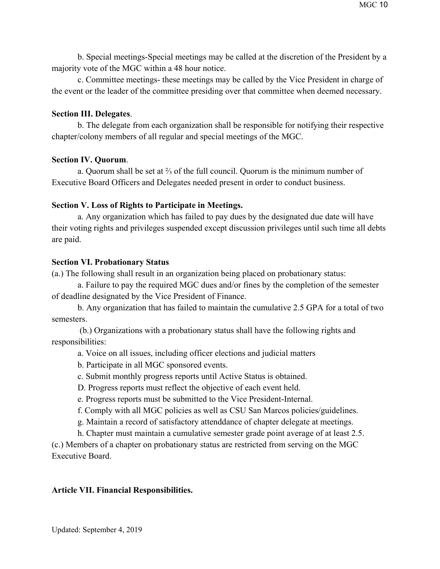b. Special meetings-Special meetings may be called at the discretion of the President by a majority vote of the MGC within a 48 hour notice.

c. Committee meetings- these meetings may be called by the Vice President in charge of the event or the leader of the committee presiding over that committee when deemed necessary.

### **Section III. Delegates**.

b. The delegate from each organization shall be responsible for notifying their respective chapter/colony members of all regular and special meetings of the MGC.

### **Section IV. Quorum**.

a. Quorum shall be set at ⅔ of the full council. Quorum is the minimum number of Executive Board Officers and Delegates needed present in order to conduct business.

## **Section V. Loss of Rights to Participate in Meetings.**

a. Any organization which has failed to pay dues by the designated due date will have their voting rights and privileges suspended except discussion privileges until such time all debts are paid.

## **Section VI. Probationary Status**

(a.) The following shall result in an organization being placed on probationary status:

a. Failure to pay the required MGC dues and/or fines by the completion of the semester of deadline designated by the Vice President of Finance.

b. Any organization that has failed to maintain the cumulative 2.5 GPA for a total of two semesters.

(b.) Organizations with a probationary status shall have the following rights and responsibilities:

a. Voice on all issues, including officer elections and judicial matters

- b. Participate in all MGC sponsored events.
- c. Submit monthly progress reports until Active Status is obtained.
- D. Progress reports must reflect the objective of each event held.
- e. Progress reports must be submitted to the Vice President-Internal.
- f. Comply with all MGC policies as well as CSU San Marcos policies/guidelines.
- g. Maintain a record of satisfactory attenddance of chapter delegate at meetings.
- h. Chapter must maintain a cumulative semester grade point average of at least 2.5.

(c.) Members of a chapter on probationary status are restricted from serving on the MGC Executive Board.

## **Article VII. Financial Responsibilities.**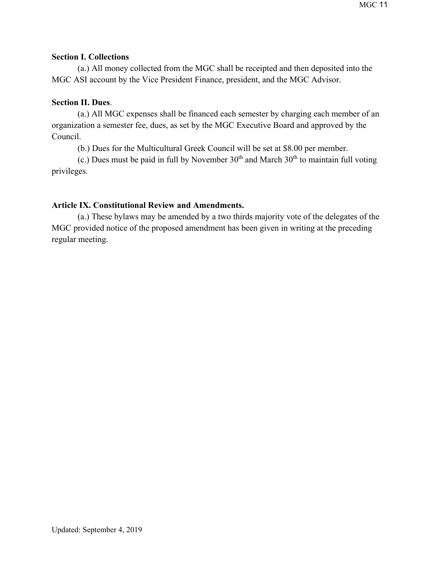### **Section I. Collections**

(a.) All money collected from the MGC shall be receipted and then deposited into the MGC ASI account by the Vice President Finance, president, and the MGC Advisor.

### **Section II. Dues**.

(a.) All MGC expenses shall be financed each semester by charging each member of an organization a semester fee, dues, as set by the MGC Executive Board and approved by the Council.

(b.) Dues for the Multicultural Greek Council will be set at \$8.00 per member.

(c.) Dues must be paid in full by November  $30<sup>th</sup>$  and March  $30<sup>th</sup>$  to maintain full voting privileges.

## **Article IX. Constitutional Review and Amendments.**

(a.) These bylaws may be amended by a two thirds majority vote of the delegates of the MGC provided notice of the proposed amendment has been given in writing at the preceding regular meeting.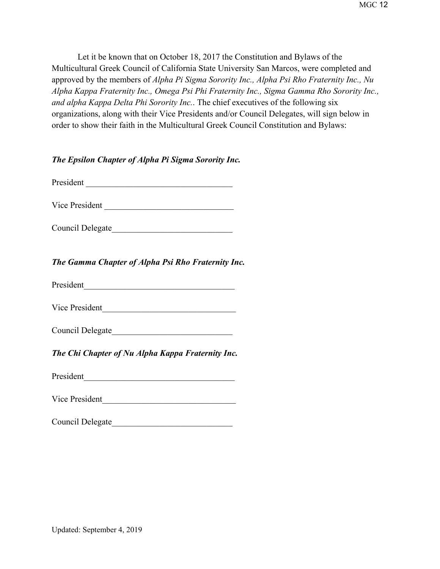Let it be known that on October 18, 2017 the Constitution and Bylaws of the Multicultural Greek Council of California State University San Marcos, were completed and approved by the members of *Alpha Pi Sigma Sorority Inc., Alpha Psi Rho Fraternity Inc., Nu Alpha Kappa Fraternity Inc., Omega Psi Phi Fraternity Inc., Sigma Gamma Rho Sorority Inc., and alpha Kappa Delta Phi Sorority Inc.*. The chief executives of the following six organizations, along with their Vice Presidents and/or Council Delegates, will sign below in order to show their faith in the Multicultural Greek Council Constitution and Bylaws:

## *The Epsilon Chapter of Alpha Pi Sigma Sorority Inc.*

President \_\_\_\_\_\_\_\_\_\_\_\_\_\_\_\_\_\_\_\_\_\_\_\_\_\_\_\_\_\_\_\_\_\_

Vice President **Willem** 

Council Delegate

## *The Gamma Chapter of Alpha Psi Rho Fraternity Inc.*

President

Vice President

| Council Delegate |
|------------------|
|                  |

*The Chi Chapter of Nu Alpha Kappa Fraternity Inc.* 

President

Vice President

Council Delegate